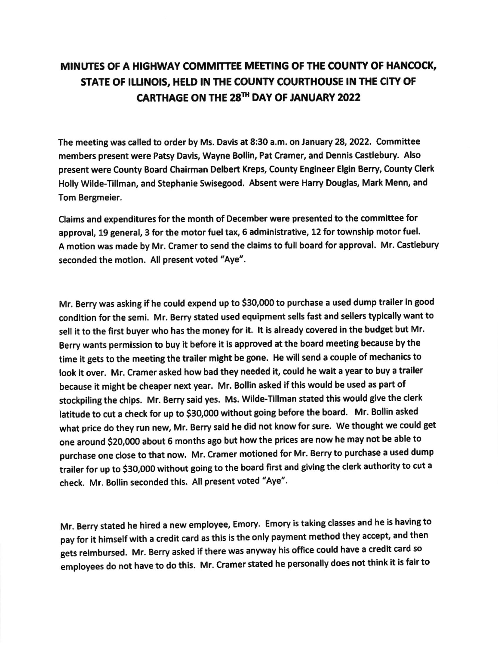## MINUTES OF A HIGHWAY COMMITTEE MEETING OF THE COUNTY OF HANCOCK, STATE OF ILLINOIS, HELD IN THE COUNTY COURTHOUSE IN THE CITY OF CARTHAGE ON THE 28<sup>TH</sup> DAY OF JANUARY 2022

The meetlng was called to order by Ms. Davis at 8:30 a.m. on January 28, 2022. Committee members present were Patsy Davis, Wayne Bollin, Pat Cramer, and Dennis Castlebury. Also present were County Board Chairman Delbert Kreps, County Engineer Elgin Berry, County Clerk Holly Wilde-Tillman, and Stephanie Swisegood. Absent were Harry Douglas, Mark Menn, and Tom Bergmeier,

Clalms and expenditures for the month of December were presented to the commlttee for approval, 19 general, 3 for the motor fuel tax, 6 administrative, 12 for township motor fuel. A motion was made by Mr. Cramer to send the claims to full board for approval. Mr. Castlebury seconded the motion. All present voted "Aye".

Mr. Berry was asking if he could expend up to \$30,000 to purchase a used dump trailer in good condition for the semi. Mr. Berry stated used equipment sells fast and sellers typically want to sell it to the first buyer who has the money for it. It is already covered in the budget but Mr. Berry wants permission to buy it before it is approved at the board meeting because by the time it gets to the meeting the traller might be gone. He will send a couple of mechanics to look it over. Mr. Cramer asked how bad they needed it, could he wait a year to buy a trailer because it might be cheaper next year. Mr. Bollin asked if this would be used as part of stockpiling the chips. Mr. Berry said yes. Ms. Wilde-Tillman stated this would give the clerk latitude to cut a check for up to \$30,000 without going before the board. Mr. Bollin asked what price do they run new, Mr. Berry sald he did not know for sure. We thought we could get one around \$20,000 about 6 months ago but how the prices are now he may not be able to purchase one close to that now, Mr, cramer motioned for Mr. Berry to purchase a used dump trailer for up to \$30,000 without going to the board first and giving the clerk authority to cut a check. Mr. Bollin seconded this. All present voted "Aye".

Mr. Berry stated he hired a new employee, Emory. Emory is taking classes and he is having to pay for it himself with a credit card as this is the only payment method they accept, and then gets reimbursed. Mr. Berry asked if there was anyway his office could have a credit card so employees do not have to do this. Mr. cramer stated he personally does not think it is fair to